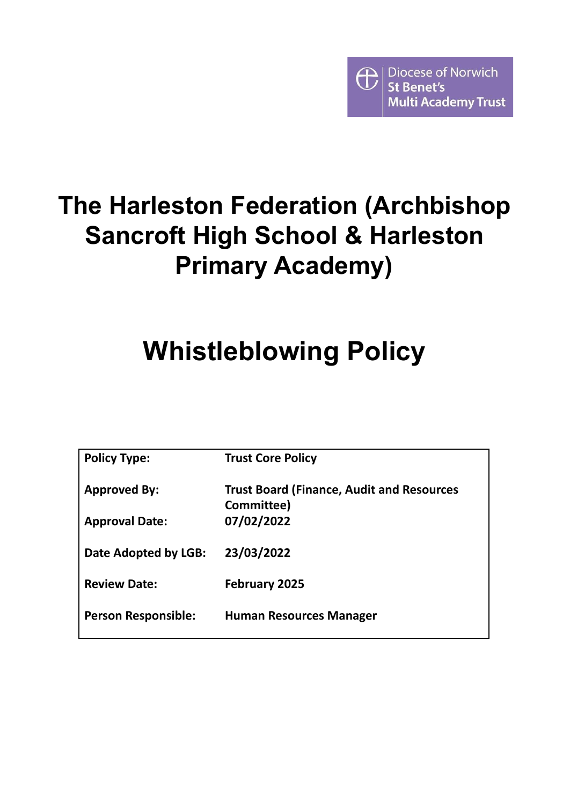

# **The Harleston Federation (Archbishop Sancroft High School & Harleston Primary Academy)**

# **Whistleblowing Policy**

| <b>Policy Type:</b>        | <b>Trust Core Policy</b>                                       |
|----------------------------|----------------------------------------------------------------|
| <b>Approved By:</b>        | <b>Trust Board (Finance, Audit and Resources</b><br>Committee) |
| <b>Approval Date:</b>      | 07/02/2022                                                     |
| Date Adopted by LGB:       | 23/03/2022                                                     |
| <b>Review Date:</b>        | <b>February 2025</b>                                           |
| <b>Person Responsible:</b> | <b>Human Resources Manager</b>                                 |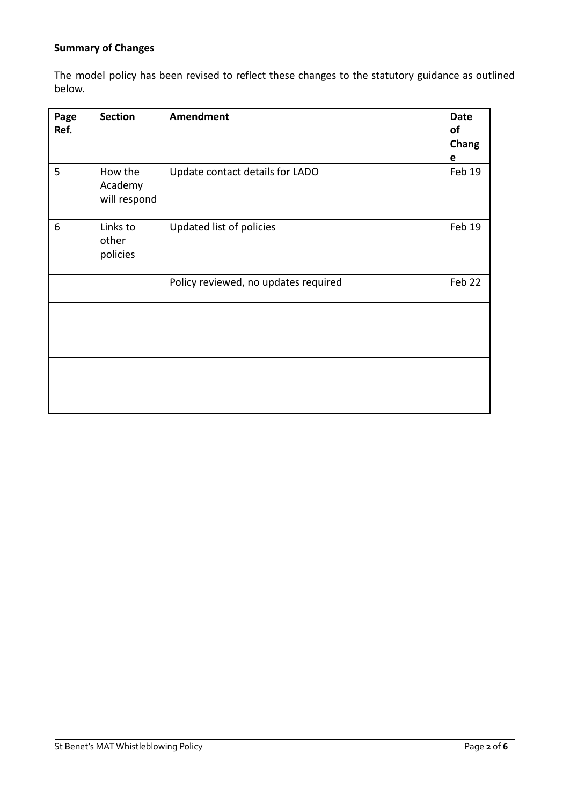## **Summary of Changes**

The model policy has been revised to reflect these changes to the statutory guidance as outlined below.

| Page<br>Ref. | <b>Section</b>                     | <b>Amendment</b>                     | <b>Date</b><br>of<br>Chang<br>e |
|--------------|------------------------------------|--------------------------------------|---------------------------------|
| 5            | How the<br>Academy<br>will respond | Update contact details for LADO      | Feb 19                          |
| 6            | Links to<br>other<br>policies      | Updated list of policies             | Feb 19                          |
|              |                                    | Policy reviewed, no updates required | Feb 22                          |
|              |                                    |                                      |                                 |
|              |                                    |                                      |                                 |
|              |                                    |                                      |                                 |
|              |                                    |                                      |                                 |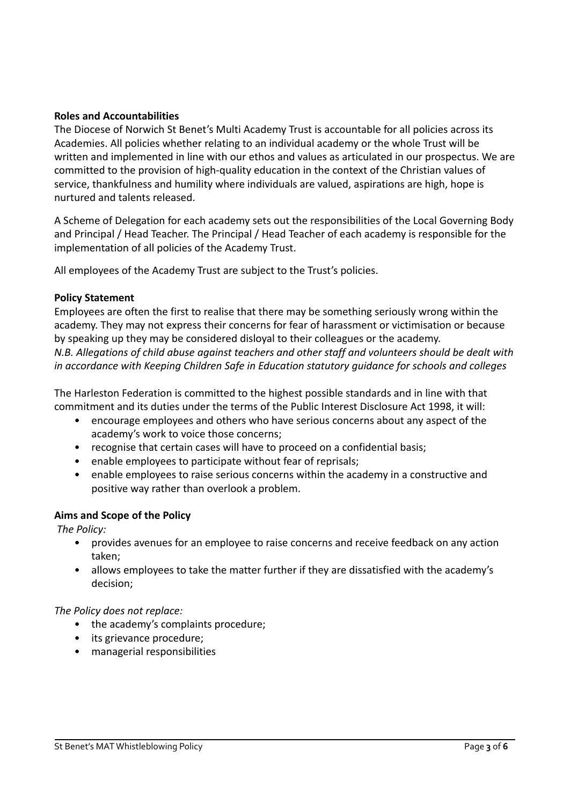#### **Roles and Accountabilities**

The Diocese of Norwich St Benet's Multi Academy Trust is accountable for all policies across its Academies. All policies whether relating to an individual academy or the whole Trust will be written and implemented in line with our ethos and values as articulated in our prospectus. We are committed to the provision of high-quality education in the context of the Christian values of service, thankfulness and humility where individuals are valued, aspirations are high, hope is nurtured and talents released.

A Scheme of Delegation for each academy sets out the responsibilities of the Local Governing Body and Principal / Head Teacher. The Principal / Head Teacher of each academy is responsible for the implementation of all policies of the Academy Trust.

All employees of the Academy Trust are subject to the Trust's policies.

#### **Policy Statement**

Employees are often the first to realise that there may be something seriously wrong within the academy. They may not express their concerns for fear of harassment or victimisation or because by speaking up they may be considered disloyal to their colleagues or the academy. *N.B. Allegations of child abuse against teachers and other staff and volunteers should be dealt with in accordance with Keeping Children Safe in Education statutory guidance for schools and colleges*

The Harleston Federation is committed to the highest possible standards and in line with that commitment and its duties under the terms of the Public Interest Disclosure Act 1998, it will:

- encourage employees and others who have serious concerns about any aspect of the academy's work to voice those concerns;
- recognise that certain cases will have to proceed on a confidential basis;
- enable employees to participate without fear of reprisals;
- enable employees to raise serious concerns within the academy in a constructive and positive way rather than overlook a problem.

#### **Aims and Scope of the Policy**

*The Policy:*

- provides avenues for an employee to raise concerns and receive feedback on any action taken;
- allows employees to take the matter further if they are dissatisfied with the academy's decision;

#### *The Policy does not replace:*

- the academy's complaints procedure:
- its grievance procedure;
- managerial responsibilities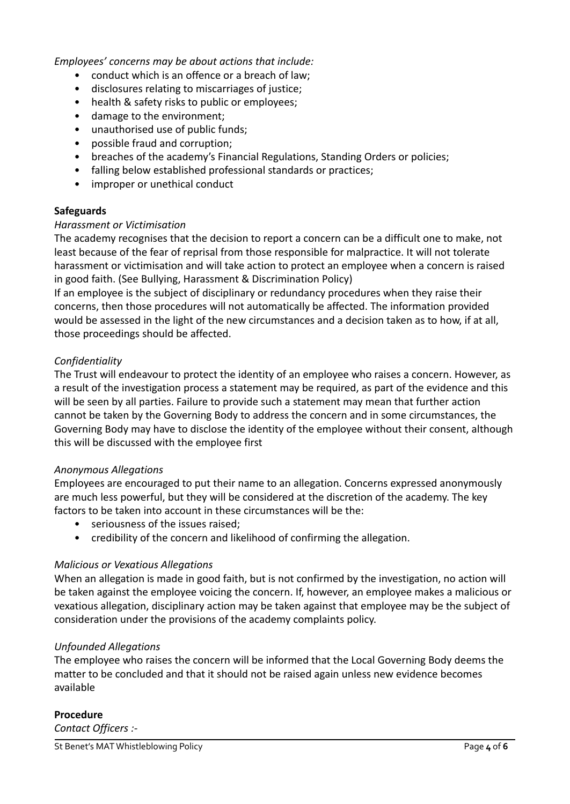*Employees' concerns may be about actions that include:*

- conduct which is an offence or a breach of law;
- disclosures relating to miscarriages of justice;
- health & safety risks to public or employees;
- damage to the environment;
- unauthorised use of public funds;
- possible fraud and corruption;
- breaches of the academy's Financial Regulations, Standing Orders or policies;
- falling below established professional standards or practices;
- improper or unethical conduct

#### **Safeguards**

#### *Harassment or Victimisation*

The academy recognises that the decision to report a concern can be a difficult one to make, not least because of the fear of reprisal from those responsible for malpractice. It will not tolerate harassment or victimisation and will take action to protect an employee when a concern is raised in good faith. (See Bullying, Harassment & Discrimination Policy)

If an employee is the subject of disciplinary or redundancy procedures when they raise their concerns, then those procedures will not automatically be affected. The information provided would be assessed in the light of the new circumstances and a decision taken as to how, if at all, those proceedings should be affected.

#### *Confidentiality*

The Trust will endeavour to protect the identity of an employee who raises a concern. However, as a result of the investigation process a statement may be required, as part of the evidence and this will be seen by all parties. Failure to provide such a statement may mean that further action cannot be taken by the Governing Body to address the concern and in some circumstances, the Governing Body may have to disclose the identity of the employee without their consent, although this will be discussed with the employee first

#### *Anonymous Allegations*

Employees are encouraged to put their name to an allegation. Concerns expressed anonymously are much less powerful, but they will be considered at the discretion of the academy. The key factors to be taken into account in these circumstances will be the:

- seriousness of the issues raised;
- credibility of the concern and likelihood of confirming the allegation.

#### *Malicious or Vexatious Allegations*

When an allegation is made in good faith, but is not confirmed by the investigation, no action will be taken against the employee voicing the concern. If, however, an employee makes a malicious or vexatious allegation, disciplinary action may be taken against that employee may be the subject of consideration under the provisions of the academy complaints policy.

#### *Unfounded Allegations*

The employee who raises the concern will be informed that the Local Governing Body deems the matter to be concluded and that it should not be raised again unless new evidence becomes available

#### **Procedure**

*Contact Officers :-*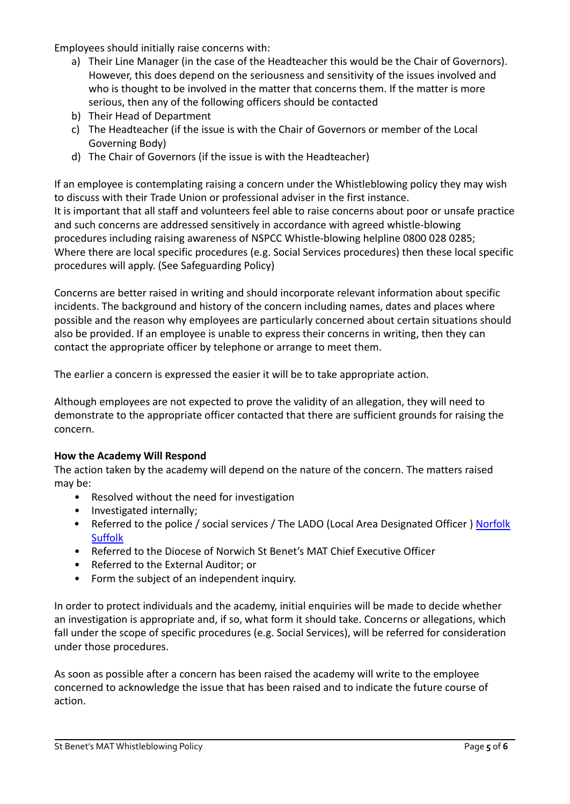Employees should initially raise concerns with:

- a) Their Line Manager (in the case of the Headteacher this would be the Chair of Governors). However, this does depend on the seriousness and sensitivity of the issues involved and who is thought to be involved in the matter that concerns them. If the matter is more serious, then any of the following officers should be contacted
- b) Their Head of Department
- c) The Headteacher (if the issue is with the Chair of Governors or member of the Local Governing Body)
- d) The Chair of Governors (if the issue is with the Headteacher)

If an employee is contemplating raising a concern under the Whistleblowing policy they may wish to discuss with their Trade Union or professional adviser in the first instance. It is important that all staff and volunteers feel able to raise concerns about poor or unsafe practice and such concerns are addressed sensitively in accordance with agreed whistle-blowing procedures including raising awareness of NSPCC Whistle-blowing helpline 0800 028 0285; Where there are local specific procedures (e.g. Social Services procedures) then these local specific procedures will apply. (See Safeguarding Policy)

Concerns are better raised in writing and should incorporate relevant information about specific incidents. The background and history of the concern including names, dates and places where possible and the reason why employees are particularly concerned about certain situations should also be provided. If an employee is unable to express their concerns in writing, then they can contact the appropriate officer by telephone or arrange to meet them.

The earlier a concern is expressed the easier it will be to take appropriate action.

Although employees are not expected to prove the validity of an allegation, they will need to demonstrate to the appropriate officer contacted that there are sufficient grounds for raising the concern.

#### **How the Academy Will Respond**

The action taken by the academy will depend on the nature of the concern. The matters raised may be:

- Resolved without the need for investigation
- Investigated internally;
- Referred to the police / social services / The LADO (Local Area Designated Officer ) [Norfolk](http://www.norfolklscb.org/wp-content/uploads/2015/04/LADO-Guidance-on-Allegations-Against-Persons-who-work-with-Children-Safer-Version.docx) [Suffolk](https://www.suffolkscb.org.uk/assets/Working-with-Children/How-to-Make-a-Referral/LSCB-LADO-Leaflet-2017.pdf)
- Referred to the Diocese of Norwich St Benet's MAT Chief Executive Officer
- Referred to the External Auditor; or
- Form the subject of an independent inquiry.

In order to protect individuals and the academy, initial enquiries will be made to decide whether an investigation is appropriate and, if so, what form it should take. Concerns or allegations, which fall under the scope of specific procedures (e.g. Social Services), will be referred for consideration under those procedures.

As soon as possible after a concern has been raised the academy will write to the employee concerned to acknowledge the issue that has been raised and to indicate the future course of action.